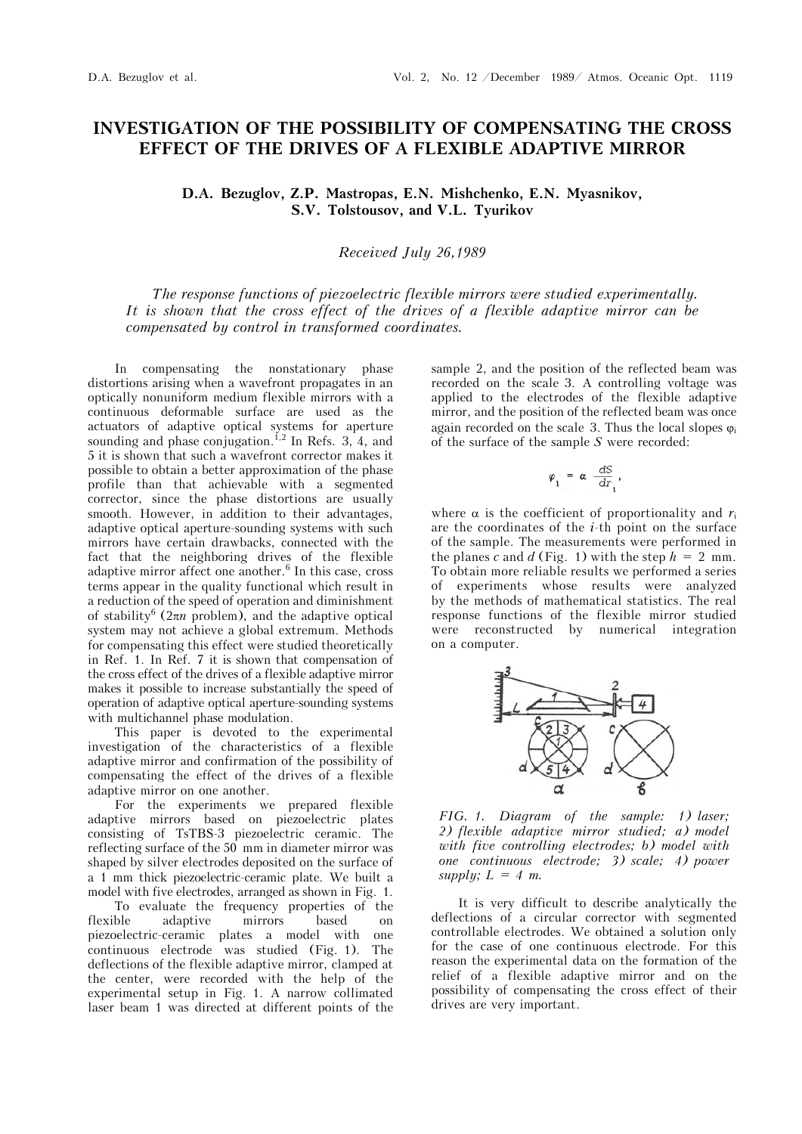## **INVESTIGATION OF THE POSSIBILITY OF COMPENSATING THE CROSS EFFECT OF THE DRIVES OF A FLEXIBLE ADAPTIVE MIRROR**

**D.A. Bezuglov, Z.P. Mastropas, E.N. Mishchenko, E.N. Myasnikov, S.V. Tolstousov, and V.L. Tyurikov** 

## *Received July 26,1989*

*The response functions of piezoelectric flexible mirrors were studied experimentally. It is shown that the cross effect of the drives of a flexible adaptive mirror can be compensated by control in transformed coordinates.*

In compensating the nonstationary phase distortions arising when a wavefront propagates in an optically nonuniform medium flexible mirrors with a continuous deformable surface are used as the actuators of adaptive optical systems for aperture sounding and phase conjugation.<sup>1,2</sup> In Refs. 3, 4, and 5 it is shown that such a wavefront corrector makes it possible to obtain a better approximation of the phase profile than that achievable with a segmented corrector, since the phase distortions are usually smooth. However, in addition to their advantages, adaptive optical aperture-sounding systems with such mirrors have certain drawbacks, connected with the fact that the neighboring drives of the flexible adaptive mirror affect one another.<sup>6</sup> In this case, cross terms appear in the quality functional which result in a reduction of the speed of operation and diminishment of stability<sup>6</sup> ( $2\pi n$  problem), and the adaptive optical system may not achieve a global extremum. Methods for compensating this effect were studied theoretically in Ref. 1. In Ref. 7 it is shown that compensation of the cross effect of the drives of a flexible adaptive mirror makes it possible to increase substantially the speed of operation of adaptive optical aperture-sounding systems with multichannel phase modulation.

This paper is devoted to the experimental investigation of the characteristics of a flexible adaptive mirror and confirmation of the possibility of compensating the effect of the drives of a flexible adaptive mirror on one another.

For the experiments we prepared flexible adaptive mirrors based on piezoelectric plates consisting of TsTBS-3 piezoelectric ceramic. The reflecting surface of the 50 mm in diameter mirror was shaped by silver electrodes deposited on the surface of a 1 mm thick piezoelectric-ceramic plate. We built a model with five electrodes, arranged as shown in Fig. 1.

To evaluate the frequency properties of the<br>ble adaptive mirrors based on flexible adaptive mirrors based on piezoelectric-ceramic plates a model with one continuous electrode was studied (Fig. 1). The deflections of the flexible adaptive mirror, clamped at the center, were recorded with the help of the experimental setup in Fig. 1. A narrow collimated laser beam 1 was directed at different points of the

sample 2, and the position of the reflected beam was recorded on the scale 3. A controlling voltage was applied to the electrodes of the flexible adaptive mirror, and the position of the reflected beam was once again recorded on the scale 3. Thus the local slopes  $\varphi_i$ of the surface of the sample *S* were recorded:

$$
\varphi_{i} = \alpha \frac{dS}{dr_{i}},
$$

where  $\alpha$  is the coefficient of proportionality and  $r_i$ are the coordinates of the *i*-th point on the surface of the sample. The measurements were performed in the planes *c* and *d* (Fig. 1) with the step  $h = 2$  mm. To obtain more reliable results we performed a series of experiments whose results were analyzed by the methods of mathematical statistics. The real response functions of the flexible mirror studied were reconstructed by numerical integration on a computer.



*FIG. 1. Diagram of the sample: 1) laser; 2) flexible adaptive mirror studied; a) model with five controlling electrodes; b) model with one continuous electrode; 3) scale; 4) power supply;*  $L = 4$  *m.* 

It is very difficult to describe analytically the deflections of a circular corrector with segmented controllable electrodes. We obtained a solution only for the case of one continuous electrode. For this reason the experimental data on the formation of the relief of a flexible adaptive mirror and on the possibility of compensating the cross effect of their drives are very important.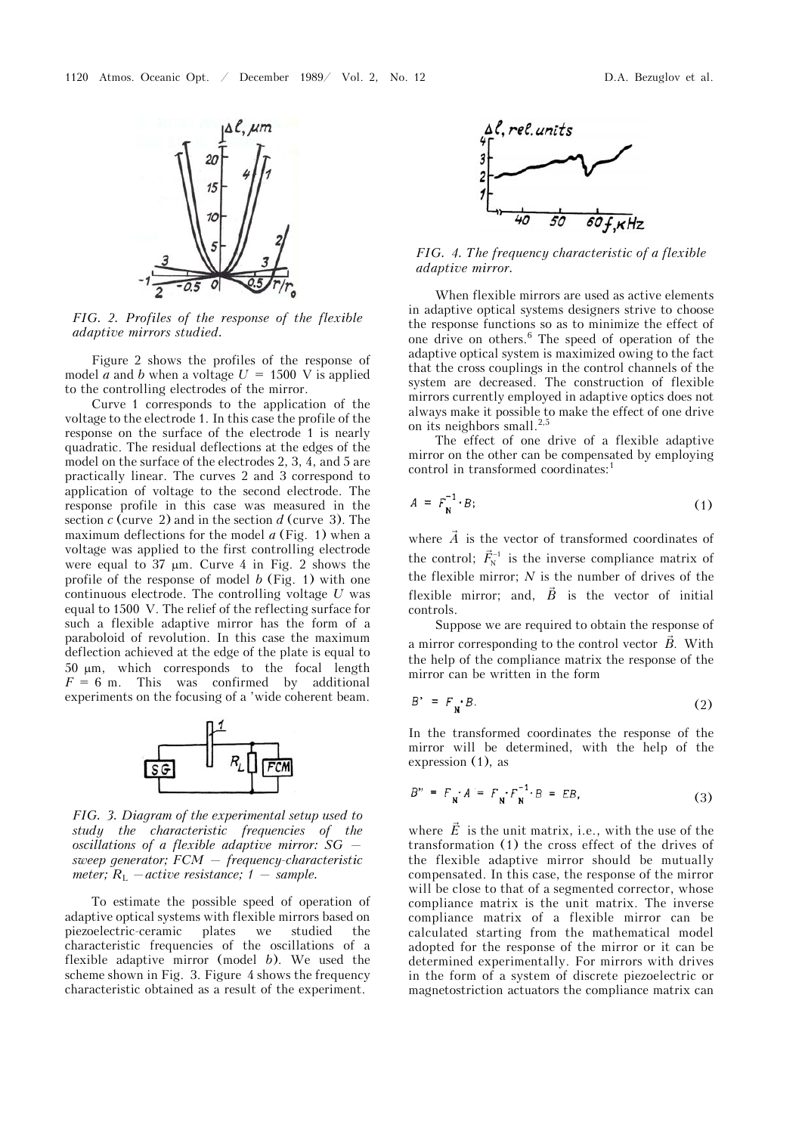

*FIG. 2. Profiles of the response of the flexible adaptive mirrors studied.*

Figure 2 shows the profiles of the response of model *a* and *b* when a voltage  $U = 1500$  V is applied to the controlling electrodes of the mirror.

Curve 1 corresponds to the application of the voltage to the electrode 1. In this case the profile of the response on the surface of the electrode 1 is nearly quadratic. The residual deflections at the edges of the model on the surface of the electrodes 2, 3, 4, and 5 are practically linear. The curves 2 and 3 correspond to application of voltage to the second electrode. The response profile in this case was measured in the section *c* (curve 2) and in the section *d* (curve 3). The maximum deflections for the model *a* (Fig. 1) when a voltage was applied to the first controlling electrode were equal to  $37 \mu m$ . Curve 4 in Fig. 2 shows the profile of the response of model *b* (Fig. 1) with one continuous electrode. The controlling voltage *U* was equal to 1500 V. The relief of the reflecting surface for such a flexible adaptive mirror has the form of a paraboloid of revolution. In this case the maximum deflection achieved at the edge of the plate is equal to  $50 \mu m$ , which corresponds to the focal length  $F = 6$  m. This was confirmed by additional experiments on the focusing of a 'wide coherent beam.



*FIG. 3. Diagram of the experimental setup used to study the characteristic frequencies of the oscillations of a flexible adaptive mirror: SG sweep generator; FCM — frequency-characteristic meter;*  $R_{\text{L}}$  *– active resistance;* 1 – *sample.* 

To estimate the possible speed of operation of adaptive optical systems with flexible mirrors based on piezoelectric-ceramic plates we studied the characteristic frequencies of the oscillations of a flexible adaptive mirror (model *b*). We used the scheme shown in Fig. 3. Figure 4 shows the frequency characteristic obtained as a result of the experiment.



*FIG. 4. The frequency characteristic of a flexible adaptive mirror.*

When flexible mirrors are used as active elements in adaptive optical systems designers strive to choose the response functions so as to minimize the effect of one drive on others.6 The speed of operation of the adaptive optical system is maximized owing to the fact that the cross couplings in the control channels of the system are decreased. The construction of flexible mirrors currently employed in adaptive optics does not always make it possible to make the effect of one drive on its neighbors small.<sup>2,5</sup>

The effect of one drive of a flexible adaptive mirror on the other can be compensated by employing control in transformed coordinates:<sup>1</sup>

$$
A = F_{\mathbf{N}}^{-1} \cdot B; \tag{1}
$$

where  $\vec{A}$  is the vector of transformed coordinates of the control;  $\vec{F}_{N}^{-1}$  is the inverse compliance matrix of the flexible mirror; *N* is the number of drives of the flexible mirror; and,  $\vec{B}$  is the vector of initial controls.

Suppose we are required to obtain the response of a mirror corresponding to the control vector  $\vec{B}$ . With the help of the compliance matrix the response of the mirror can be written in the form

$$
B' = F_{\mathbf{N}} \cdot B. \tag{2}
$$

In the transformed coordinates the response of the mirror will be determined, with the help of the expression (1), as

$$
B'' = F_{\mathbf{N}} A = F_{\mathbf{N}} F_{\mathbf{N}}^{-1} B = EB,
$$
 (3)

where  $\vec{E}$  is the unit matrix, i.e., with the use of the transformation (1) the cross effect of the drives of the flexible adaptive mirror should be mutually compensated. In this case, the response of the mirror will be close to that of a segmented corrector, whose compliance matrix is the unit matrix. The inverse compliance matrix of a flexible mirror can be calculated starting from the mathematical model adopted for the response of the mirror or it can be determined experimentally. For mirrors with drives in the form of a system of discrete piezoelectric or magnetostriction actuators the compliance matrix can